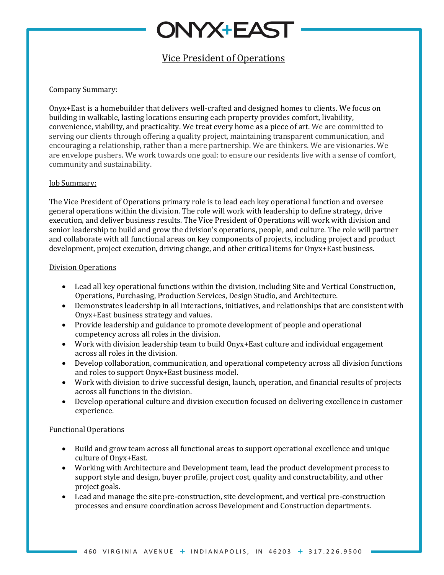## **DNYX+EAST**

### Vice President of Operations

#### Company Summary:

Onyx+East is a homebuilder that delivers well-crafted and designed homes to clients. We focus on building in walkable, lasting locations ensuring each property provides comfort, livability, convenience, viability, and practicality. We treat every home as a piece of art. We are committed to serving our clients through offering a quality project, maintaining transparent communication, and encouraging a relationship, rather than a mere partnership. We are thinkers. We are visionaries. We are envelope pushers. We work towards one goal: to ensure our residents live with a sense of comfort, community and sustainability.

#### **Job Summary:**

The Vice President of Operations primary role is to lead each key operational function and oversee general operations within the division. The role will work with leadership to define strategy, drive execution, and deliver business results. The Vice President of Operations will work with division and senior leadership to build and grow the division's operations, people, and culture. The role will partner and collaborate with all functional areas on key components of projects, including project and product development, project execution, driving change, and other critical items for Onyx+East business.

#### Division Operations

- Lead all key operational functions within the division, including Site and Vertical Construction, Operations, Purchasing, Production Services, Design Studio, and Architecture.
- Demonstrates leadership in all interactions, initiatives, and relationships that are consistent with Onyx+East business strategy and values.
- Provide leadership and guidance to promote development of people and operational competency across all roles in the division.
- Work with division leadership team to build Onyx+East culture and individual engagement across all roles in the division.
- Develop collaboration, communication, and operational competency across all division functions and roles to support Onyx+East business model.
- Work with division to drive successful design, launch, operation, and financial results of projects across all functions in the division.
- Develop operational culture and division execution focused on delivering excellence in customer experience.

#### Functional Operations

- Build and grow team across all functional areas to support operational excellence and unique culture of Onyx+East.
- Working with Architecture and Development team, lead the product development process to support style and design, buyer profile, project cost, quality and constructability, and other project goals.
- Lead and manage the site pre-construction, site development, and vertical pre-construction processes and ensure coordination across Development and Construction departments.